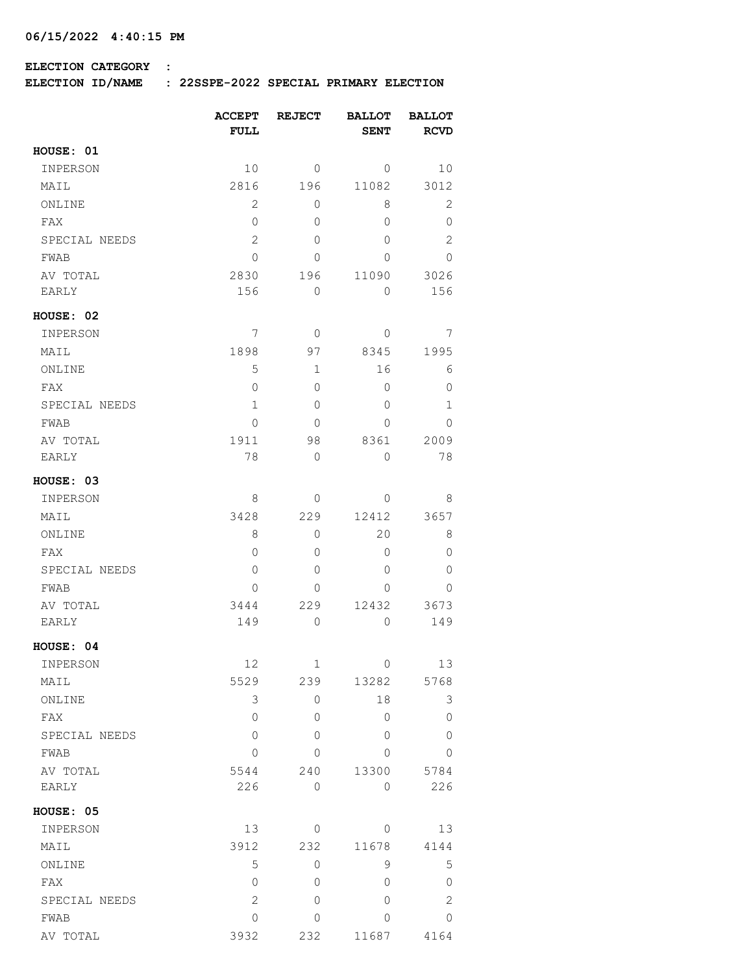## **4:40:15 PM 06/15/2022**

## **ELECTION CATEGORY :**

**ELECTION ID/NAME : 22SSPE-2022 SPECIAL PRIMARY ELECTION**

|               | <b>ACCEPT</b><br><b>FULL</b> | <b>REJECT</b> | <b>BALLOT</b><br><b>SENT</b> | <b>BALLOT</b><br><b>RCVD</b> |
|---------------|------------------------------|---------------|------------------------------|------------------------------|
| HOUSE: 01     |                              |               |                              |                              |
| INPERSON      | 10                           | 0             | 0                            | 10                           |
| MAIL          | 2816                         | 196           | 11082                        | 3012                         |
| ONLINE        | 2                            | 0             | 8                            | 2                            |
| FAX           | 0                            | 0             | $\Omega$                     | $\circ$                      |
| SPECIAL NEEDS | 2                            | $\Omega$      | $\Omega$                     | $\mathbf{2}$                 |
| FWAB          | 0                            | 0             | $\Omega$                     | 0                            |
| AV TOTAL      | 2830                         | 196           | 11090                        | 3026                         |
| EARLY         | 156                          | 0             | 0                            | 156                          |
| HOUSE: 02     |                              |               |                              |                              |
| INPERSON      | 7                            | 0             | 0                            | 7                            |
| MAIL          | 1898                         | 97            | 8345                         | 1995                         |
| ONLINE        | 5                            | 1             | 16                           | 6                            |
| FAX           | 0                            | $\Omega$      | 0                            | $\mathbf 0$                  |
| SPECIAL NEEDS | $\mathbf{1}$                 | 0             | $\Omega$                     | $\mathbf 1$                  |
| FWAB          | $\Omega$                     | 0             | $\Omega$                     | 0                            |
| AV TOTAL      | 1911                         | 98            | 8361                         | 2009                         |
| EARLY         | 78                           | 0             | $\circ$                      | 78                           |
| HOUSE: 03     |                              |               |                              |                              |
| INPERSON      | 8                            | 0             | 0                            | 8                            |
| MAIL          | 3428                         | 229           | 12412                        | 3657                         |
| ONLINE        | 8                            | 0             | 20                           | 8                            |
| FAX           | 0                            | 0             | 0                            | $\mathbf 0$                  |
| SPECIAL NEEDS | 0                            | 0             | 0                            | 0                            |
| FWAB          | 0                            | 0             | 0                            | 0                            |
| AV TOTAL      | 3444                         | 229           | 12432                        | 3673                         |
| EARLY         | 149                          | 0             | $\circ$                      | 149                          |
| HOUSE: 04     |                              |               |                              |                              |
| INPERSON      | 12                           | 1             | $\sim$ 0                     | 13                           |
| MAIL          | 5529                         | 239           | 13282                        | 5768                         |
| ONLINE        | 3                            | $\circ$       | 18                           | 3                            |
| FAX           | 0                            | 0             | 0                            | $\overline{0}$               |
| SPECIAL NEEDS | 0                            | 0             | 0                            | $\mathbf 0$                  |
| FWAB          | 0                            | 0             | 0                            | $\mathbf 0$                  |
| AV TOTAL      | 5544                         | 240           | 13300                        | 5784                         |
| EARLY         | 226                          | 0             | $\mathbf{0}$                 | 226                          |
| HOUSE: 05     |                              |               |                              |                              |
| INPERSON      | 13                           | 0             | 0                            | 13                           |
| MAIL          | 3912                         | 232           | 11678                        | 4144                         |
| ONLINE        | 5                            | 0             | 9                            | 5                            |
| FAX           | 0                            | 0             | 0                            | $\mathbb O$                  |
| SPECIAL NEEDS | 2                            | 0             | 0                            | $\mathbf{2}$                 |
| FWAB          | $\mathbf 0$                  | 0             | 0                            | 0                            |
| AV TOTAL      | 3932                         | 232           | 11687                        | 4164                         |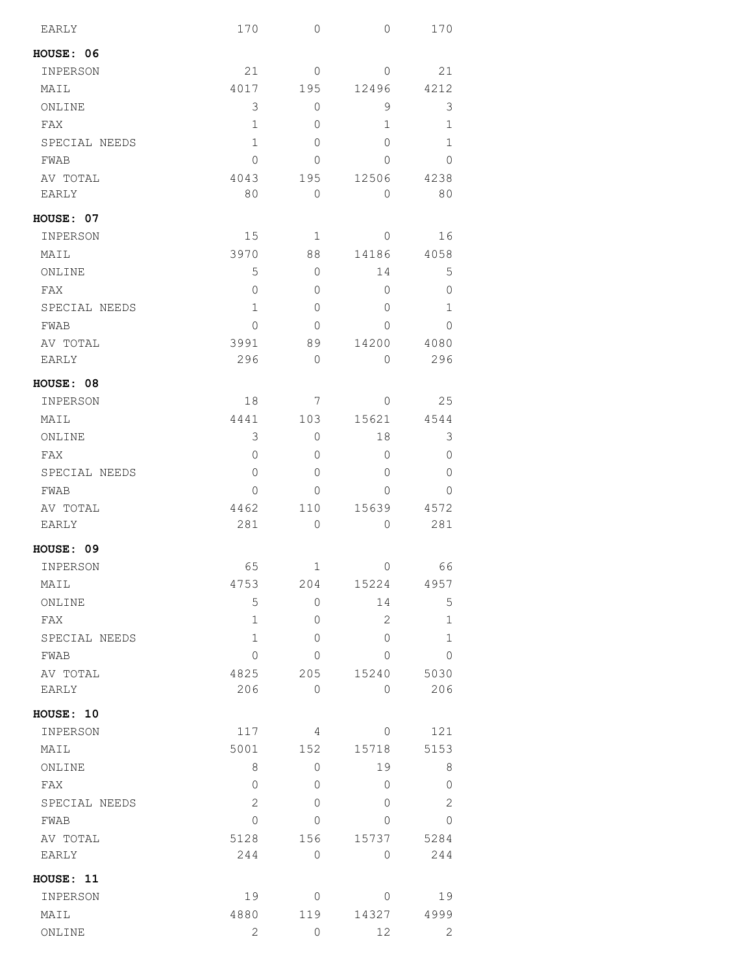| EARLY         | 170  | $\mathbf 0$ | $\overline{0}$ | 170            |
|---------------|------|-------------|----------------|----------------|
| HOUSE: 06     |      |             |                |                |
| INPERSON      | 21   | 0           | 0              | 21             |
| MAIL          | 4017 | 195         | 12496          | 4212           |
| ONLINE        | 3    | 0           | 9              | 3              |
| FAX           | 1    | 0           | 1              | 1              |
| SPECIAL NEEDS | 1    | 0           | 0              | 1              |
| FWAB          | 0    | 0           | 0              | 0              |
| AV TOTAL      | 4043 | 195         | 12506          | 4238           |
| EARLY         | 80   | 0           | 0              | 80             |
| HOUSE: 07     |      |             |                |                |
| INPERSON      | 15   | 1           | 0              | 16             |
| MAIL          | 3970 | 88          | 14186          | 4058           |
| ONLINE        | 5    | 0           | 14             | 5              |
| FAX           | 0    | 0           | 0              | 0              |
| SPECIAL NEEDS | 1    | 0           | 0              | 1              |
| FWAB          | 0    | 0           | 0              | 0              |
| AV TOTAL      | 3991 | 89          | 14200          | 4080           |
| <b>EARLY</b>  | 296  | $\mathbf 0$ | 0              | 296            |
| HOUSE: 08     |      |             |                |                |
| INPERSON      | 18   | 7           | 0              | 25             |
| MAIL          | 4441 | 103         | 15621          | 4544           |
| ONLINE        | 3    | 0           | 18             | 3              |
| FAX           | 0    | 0           | 0              | 0              |
| SPECIAL NEEDS | 0    | 0           | 0              | 0              |
| FWAB          | 0    | 0           | 0              | $\Omega$       |
| AV TOTAL      | 4462 | 110         | 15639          | 4572           |
| EARLY         | 281  | 0           | 0              | 281            |
| HOUSE: 09     |      |             |                |                |
| INPERSON      | 65   | 1           | 0              | 66             |
| MAIL          | 4753 | 204         | 15224          | 4957           |
| ONLINE        | 5    | 0           | 14             | 5              |
| FAX           | 1    | 0           | $\overline{2}$ | 1              |
| SPECIAL NEEDS | 1    | 0           | 0              | 1              |
| FWAB          | 0    | 0           | 0              | 0              |
| AV TOTAL      | 4825 | 205         | 15240          | 5030           |
| EARLY         | 206  | $\circ$     | 0              | 206            |
| HOUSE: 10     |      |             |                |                |
| INPERSON      | 117  | 4           | 0              | 121            |
| MAIL          | 5001 | 152         | 15718          | 5153           |
| ONLINE        | 8    | 0           | 19             | 8              |
| FAX           | 0    | 0           | 0              | $\overline{0}$ |
| SPECIAL NEEDS | 2    | 0           | 0              | 2              |
| FWAB          | 0    | 0           | 0              | $\overline{0}$ |
| AV TOTAL      | 5128 | 156         | 15737          | 5284           |
| EARLY         | 244  | 0           | 0              | 244            |
| HOUSE: 11     |      |             |                |                |
| INPERSON      | 19   | 0           | 0              | 19             |
| MAIL          | 4880 | 119         | 14327          | 4999           |
| ONLINE        | 2    | 0           | 12             | 2              |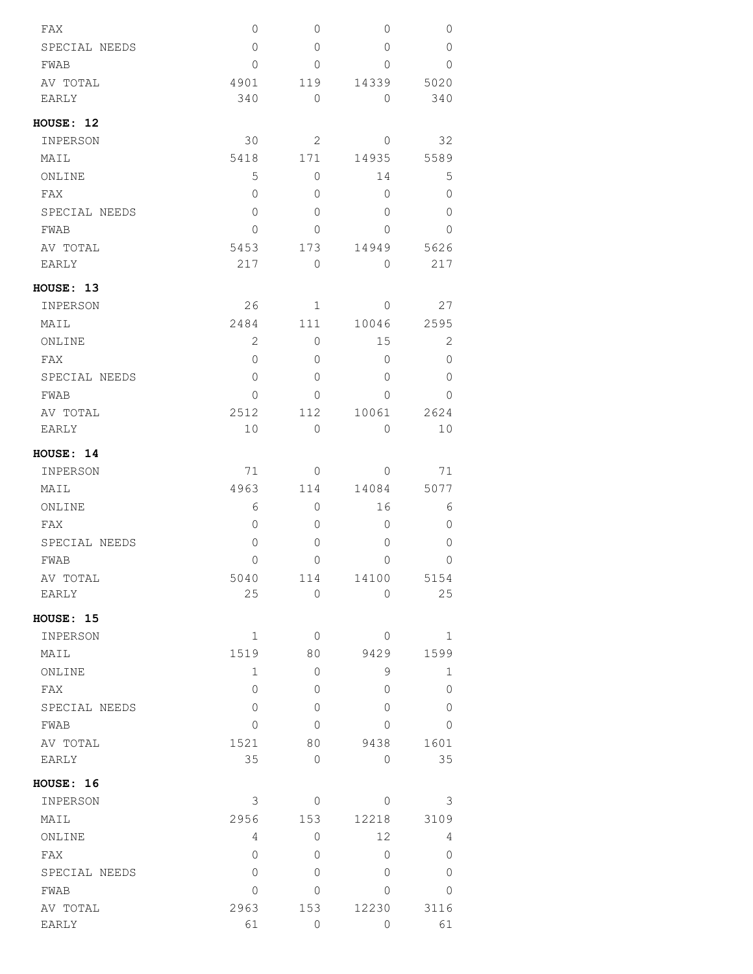| FAX           | 0              | 0           | 0              | 0            |
|---------------|----------------|-------------|----------------|--------------|
| SPECIAL NEEDS | $\overline{0}$ | 0           | 0              | 0            |
| FWAB          | $\Omega$       | 0           | $\Omega$       | $\Omega$     |
| AV TOTAL      | 4901           | 119         | 14339          | 5020         |
| <b>EARLY</b>  | 340            | 0           | $\circ$        | 340          |
| HOUSE: 12     |                |             |                |              |
| INPERSON      | 30             | 2           | $\mathbf{0}$   | 32           |
| MAIL          | 5418           | 171         | 14935          | 5589         |
| ONLINE        | 5              | $\Omega$    | 14             | $\mathsf S$  |
| FAX           | $\Omega$       | $\Omega$    | $\overline{0}$ | 0            |
| SPECIAL NEEDS | $\Omega$       | 0           | $\Omega$       | $\Omega$     |
| FWAB          | $\Omega$       | $\Omega$    | 0              | $\Omega$     |
| AV TOTAL      | 5453           | 173         | 14949          | 5626         |
| <b>EARLY</b>  | 217            | $\Omega$    | $\Omega$       | 217          |
| HOUSE: 13     |                |             |                |              |
| INPERSON      | 26             | $\mathbf 1$ | $\mathbf{0}$   | 27           |
| MAIL          | 2484           | 111         | 10046          | 2595         |
| ONLINE        | 2              | 0           | 15             | $\mathbf{2}$ |
| FAX           | $\Omega$       | $\Omega$    | $\Omega$       | 0            |
| SPECIAL NEEDS | $\mathbf{0}$   | $\Omega$    | 0              | 0            |
| FWAB          | 0              | 0           | $\overline{0}$ | 0            |
| AV TOTAL      | 2512           | 112         | 10061          | 2624         |
| EARLY         | 10             | 0           | $\circ$        | 10           |
| HOUSE: 14     |                |             |                |              |
| INPERSON      | 71             | 0           | $\circ$        | 71           |
| MAIL          | 4963           | 114         | 14084          | 5077         |
| ONLINE        | 6              | 0           | 16             | 6            |
| FAX           | 0              | 0           | 0              | $\mathbf 0$  |
| SPECIAL NEEDS | 0              | 0           | 0              | 0            |
| <b>FWAB</b>   | 0              | 0           | 0              | 0            |
| AV TOTAL      | 5040           | 114         | 14100          | 5154         |
| <b>EARLY</b>  | 25             | $\circ$     | 0              | 25           |
| HOUSE: 15     |                |             |                |              |
| INPERSON      | $\mathbf 1$    | $\circ$     | $\circ$        | 1            |
| MAIL          | 1519           | 80          | 9429           | 1599         |
| ONLINE        | $\mathbf 1$    | 0           | 9              | $\mathbf 1$  |
| FAX           | 0              | 0           | 0              | $\circ$      |
| SPECIAL NEEDS | 0              | 0           | 0              | 0            |
| FWAB          | 0              | 0           | $\circ$        | $\circ$      |
| AV TOTAL      | 1521           | 80          | 9438           | 1601         |
| EARLY         | 35             | 0           | $\circ$        | 35           |
| HOUSE: 16     |                |             |                |              |
| INPERSON      | 3              | 0           | $\circ$        | 3            |
| MAIL          | 2956           | 153         | 12218          | 3109         |
| ONLINE        | 4              | 0           | 12             | 4            |
| FAX           | 0              | 0           | 0              | 0            |
| SPECIAL NEEDS | 0              | $\Omega$    | $\circ$        | $\mathbf{0}$ |
| FWAB          | 0              | 0           | $\Omega$       | 0            |
| AV TOTAL      | 2963           | 153         | 12230          | 3116         |
| EARLY         | 61             | 0           | 0              | 61           |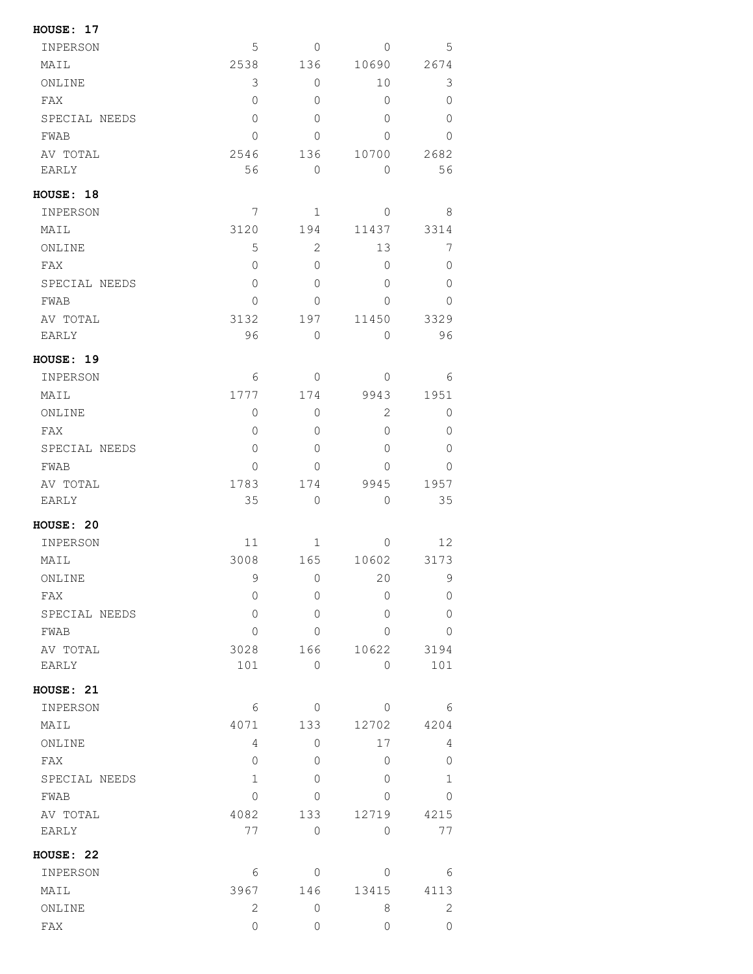| HOUSE: 17        |              |                     |              |              |
|------------------|--------------|---------------------|--------------|--------------|
| INPERSON         | 5            | 0                   | $\mathbf{0}$ | 5            |
| MAIL             | 2538         | 136                 | 10690        | 2674         |
| ONLINE           | 3            | 0                   | 10           | 3            |
| FAX              | 0            | 0                   | 0            | 0            |
| SPECIAL NEEDS    | $\Omega$     | 0                   | 0            | 0            |
| FWAB             | $\Omega$     | 0                   | 0            | 0            |
| AV TOTAL         | 2546         | 136                 | 10700        | 2682         |
| EARLY            | 56           | 0                   | 0            | 56           |
| HOUSE: 18        |              |                     |              |              |
| INPERSON         | 7            | 1                   | 0            | 8            |
| MAIL             | 3120         | 194                 | 11437        | 3314         |
| ONLINE           | 5            | $\overline{2}$      | 13           | 7            |
| FAX              | $\Omega$     | 0                   | 0            | 0            |
| SPECIAL NEEDS    | $\Omega$     | 0                   | 0            | 0            |
| FWAB             | $\Omega$     | 0                   | 0            | 0            |
| AV TOTAL         | 3132         | 197                 | 11450        | 3329         |
| EARLY            | 96           | 0                   | 0            | 96           |
|                  |              |                     |              |              |
| <b>HOUSE: 19</b> |              |                     |              |              |
| INPERSON         | 6            | 0                   | 0            | 6            |
| MAIL             | 1777         | 174                 | 9943         | 1951         |
| ONLINE           | 0            | 0                   | 2            | 0            |
| FAX              | $\Omega$     | 0                   | 0            | 0            |
| SPECIAL NEEDS    | $\Omega$     | 0                   | 0            | 0            |
| FWAB             | 0            | 0                   | 0            | $\Omega$     |
| AV TOTAL         | 1783         | 174                 | 9945         | 1957         |
| EARLY            | 35           | 0                   | 0            | 35           |
| HOUSE: 20        |              |                     |              |              |
| INPERSON         | 11           | 1                   | 0            | 12           |
| MAIL             | 3008         | 165                 | 10602        | 3173         |
| ONLINE           | 9            | $\mathsf{O}\xspace$ | 20           | 9            |
| FAX              | $\mathbf 0$  | 0                   | 0            | 0            |
| SPECIAL NEEDS    | 0            | 0                   | 0            | 0            |
| FWAB             | $\mathbf 0$  | 0                   | 0            | 0            |
| AV TOTAL         | 3028         | 166                 | 10622        | 3194         |
| EARLY            | 101          | 0                   | $\circ$      | 101          |
| HOUSE: 21        |              |                     |              |              |
| INPERSON         | 6            | 0                   | 0            | 6            |
| MAIL             | 4071         | 133                 | 12702        | 4204         |
| ONLINE           | 4            | 0                   | 17           | 4            |
| FAX              | 0            | 0                   | 0            | 0            |
| SPECIAL NEEDS    | $\mathbf{1}$ | 0                   | 0            | $\mathbf{1}$ |
| FWAB             | 0            | 0                   | 0            | 0            |
| AV TOTAL         | 4082         | 133                 | 12719        | 4215         |
| EARLY            | 77           | 0                   | 0            | 77           |
| HOUSE: 22        |              |                     |              |              |
| INPERSON         | 6            | 0                   | 0            | 6            |
| MAIL             | 3967         | 146                 | 13415        | 4113         |
|                  | 2            | 0                   | 8            | $\mathbf{2}$ |
| ONLINE           |              |                     |              |              |
| FAX              | 0            | 0                   | 0            | $\circ$      |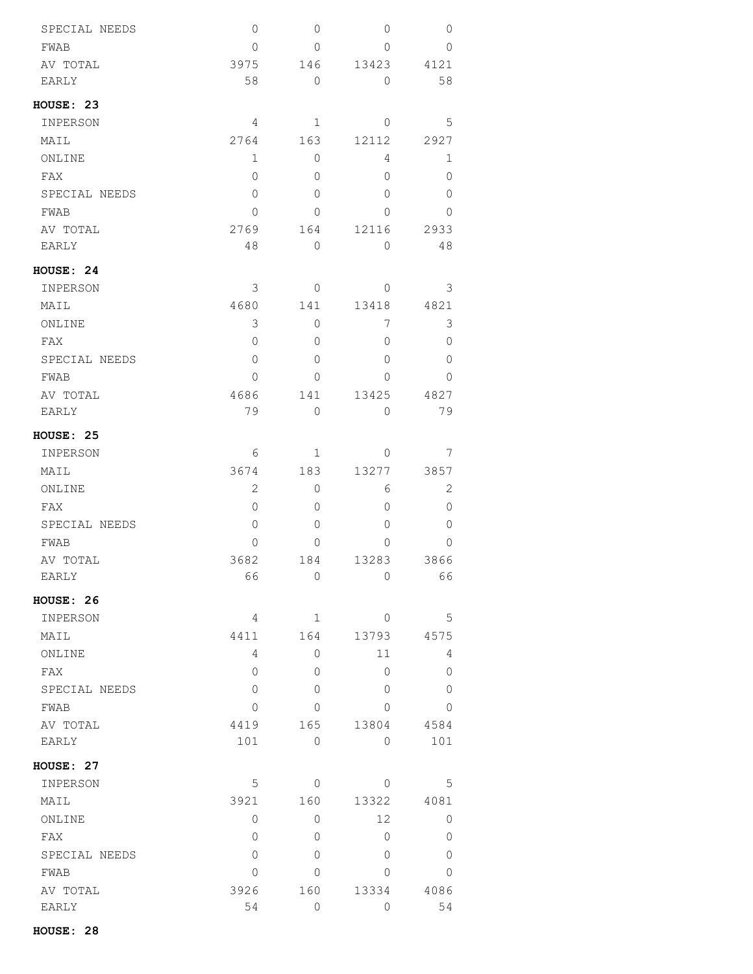| SPECIAL NEEDS    | $\mathbf 0$ | 0            | 0              | 0              |
|------------------|-------------|--------------|----------------|----------------|
| FWAB             | 0           | 0            | 0              | 0              |
| AV TOTAL         | 3975        | 146          | 13423          | 4121           |
| EARLY            | 58          | $\mathbf 0$  | 0              | 58             |
| <b>HOUSE: 23</b> |             |              |                |                |
| INPERSON         | 4           | $\mathbf 1$  | $\overline{0}$ | 5              |
| MAIL             | 2764        | 163          | 12112          | 2927           |
| ONLINE           | 1           | 0            | 4              | 1              |
| FAX              | 0           | 0            | 0              | 0              |
| SPECIAL NEEDS    | 0           | 0            | 0              | 0              |
| FWAB             | 0           | 0            | 0              | 0              |
| AV TOTAL         | 2769        | 164          | 12116          | 2933           |
| EARLY            | 48          | 0            | 0              | 48             |
| <b>HOUSE: 24</b> |             |              |                |                |
| INPERSON         | 3           | 0            | 0              | 3              |
| MAIL             | 4680        | 141          | 13418          | 4821           |
| ONLINE           | 3           | 0            | 7              | 3              |
| FAX              | 0           | 0            | 0              | 0              |
| SPECIAL NEEDS    | 0           | 0            | 0              | $\Omega$       |
| FWAB             | 0           | 0            | 0              | 0              |
| AV TOTAL         | 4686        | 141          | 13425          | 4827           |
| EARLY            | 79          | $\mathbf 0$  | 0              | 79             |
| HOUSE: 25        |             |              |                |                |
| INPERSON         | 6           | 1            | 0              | 7              |
| MAIL             | 3674        | 183          | 13277          | 3857           |
| ONLINE           | 2           | 0            | 6              | 2              |
| FAX              | 0           | 0            | 0              | 0              |
| SPECIAL NEEDS    | 0           | 0            | 0              | 0              |
| FWAB             | 0           | 0            | 0              | 0              |
| AV TOTAL         | 3682        | 184          | 13283          | 3866           |
| EARLY            | 66          | 0            | 0              | 66             |
| HOUSE: 26        |             |              |                |                |
| INPERSON         | 4           | $\mathbf{1}$ | 0              | 5              |
| MAIL             | 4411        | 164          | 13793          | 4575           |
| ONLINE           | 4           | 0            | 11             | 4              |
| FAX              | 0           | 0            | 0              | 0              |
| SPECIAL NEEDS    | 0           | 0            | $\Omega$       | $\Omega$       |
| FWAB             | 0           | 0            | 0              | 0              |
| AV TOTAL         | 4419        | 165          | 13804          | 4584           |
| EARLY            | 101         | 0            | 0              | 101            |
| HOUSE: 27        |             |              |                |                |
| INPERSON         | 5           | 0            | 0              | 5              |
| MAIL             | 3921        | 160          | 13322          | 4081           |
| ONLINE           | 0           | 0            | 12             | 0              |
| FAX              | 0           | 0            | 0              | $\overline{0}$ |
| SPECIAL NEEDS    | 0           | 0            | 0              | $\overline{0}$ |
| FWAB             | 0           | 0            | 0              | 0              |
| AV TOTAL         | 3926        | 160          | 13334          | 4086           |
| EARLY            | 54          | 0            | 0              | 54             |

**HOUSE: 28**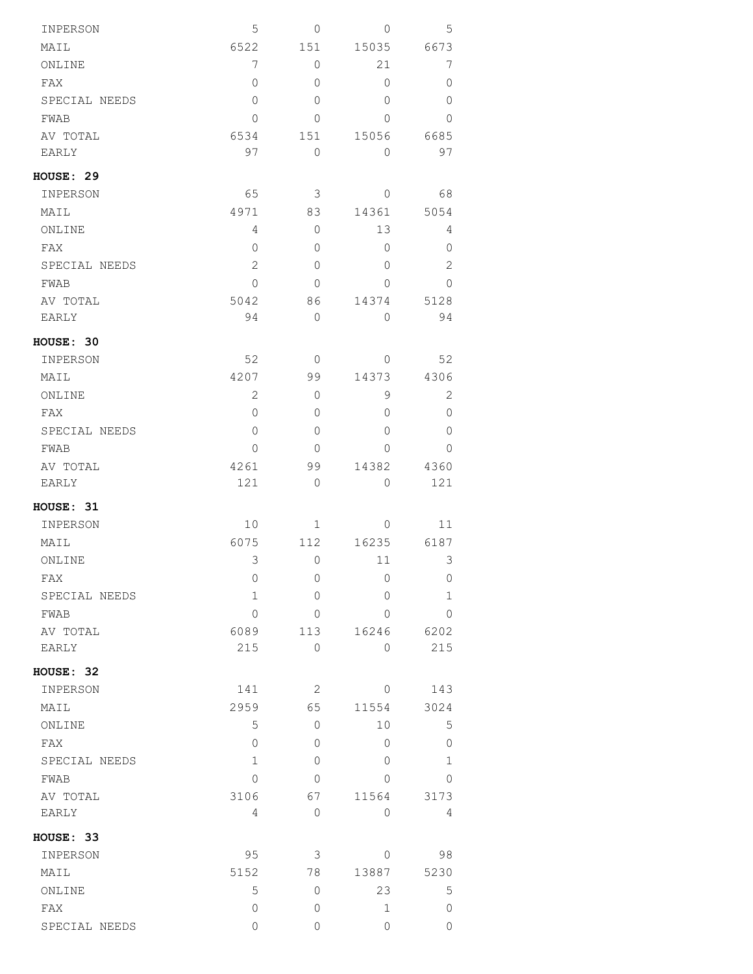| INPERSON      | 5              | 0            | 0            | 5            |
|---------------|----------------|--------------|--------------|--------------|
| MAIL          | 6522           | 151          | 15035        | 6673         |
| ONLINE        | $\overline{7}$ | 0            | 21           | 7            |
| FAX           | 0              | 0            | 0            | 0            |
| SPECIAL NEEDS | $\circ$        | $\Omega$     | 0            | 0            |
| FWAB          | $\circ$        | 0            | 0            | 0            |
| AV TOTAL      | 6534           | 151          | 15056        | 6685         |
| EARLY         | 97             | $\circ$      | $\circ$      | 97           |
| HOUSE: 29     |                |              |              |              |
| INPERSON      | 65             | 3            | 0            | 68           |
| MAIL          | 4971           | 83           | 14361        | 5054         |
| ONLINE        | 4              | $\Omega$     | 13           | 4            |
| FAX           | $\circ$        | 0            | $\mathbf{0}$ | 0            |
| SPECIAL NEEDS | 2              | 0            | 0            | $\mathbf{2}$ |
| FWAB          | 0              | 0            | $\Omega$     | $\mathbf{0}$ |
| AV TOTAL      | 5042           | 86           | 14374        | 5128         |
| EARLY         | 94             | 0            | 0            | 94           |
| HOUSE: 30     |                |              |              |              |
| INPERSON      | 52             | $\circ$      | 0            | 52           |
| MAIL          | 4207           | 99           | 14373        | 4306         |
| ONLINE        | 2              | 0            | 9            | 2            |
| FAX           | $\circ$        | 0            | $\circ$      | $\circ$      |
| SPECIAL NEEDS | 0              | 0            | $\Omega$     | 0            |
| FWAB          | $\circ$        | 0            | $\Omega$     | 0            |
| AV TOTAL      | 4261           | 99           | 14382        | 4360         |
| EARLY         | 121            | 0            | 0            | 121          |
| HOUSE: 31     |                |              |              |              |
| INPERSON      | 10             | $\mathbf{1}$ | 0            | 11           |
| MAIL          | 6075           | 112          | 16235        | 6187         |
| ONLINE        | 3              | 0            | 11           | 3            |
| FAX           | 0              | 0            | 0            | 0            |
| SPECIAL NEEDS | 1              | 0            | 0            | $\mathbf 1$  |
| FWAB          | 0              | 0            | $\Omega$     | $\circ$      |
| AV TOTAL      | 6089           | 113          | 16246        | 6202         |
| EARLY         | 215            | 0            | $\circ$      | 215          |
|               |                |              |              |              |
| HOUSE: 32     |                |              |              |              |
| INPERSON      | 141            | 2            | 0            | 143          |
| MAIL          | 2959           | 65           | 11554        | 3024         |
| ONLINE        | 5              | 0            | 10           | $\mathsf S$  |
| FAX           | $\mathbf{0}$   | 0            | 0            | $\mathbf 0$  |
| SPECIAL NEEDS | $\mathbf{1}$   | $\Omega$     | $\Omega$     | $\mathbf 1$  |
| FWAB          | $\Omega$       | 0            | $\Omega$     | 0            |
| AV TOTAL      | 3106           | 67           | 11564        | 3173         |
| EARLY         | 4              | 0            | $\circ$      | 4            |
| HOUSE: 33     |                |              |              |              |
| INPERSON      | 95             | 3            | 0            | 98           |
| MAIL          | 5152           | 78           | 13887        | 5230         |
| ONLINE        | 5              | 0            | 23           | 5            |
| FAX           | 0              | 0            | $\mathbf 1$  | 0            |
| SPECIAL NEEDS | 0              | 0            | 0            | 0            |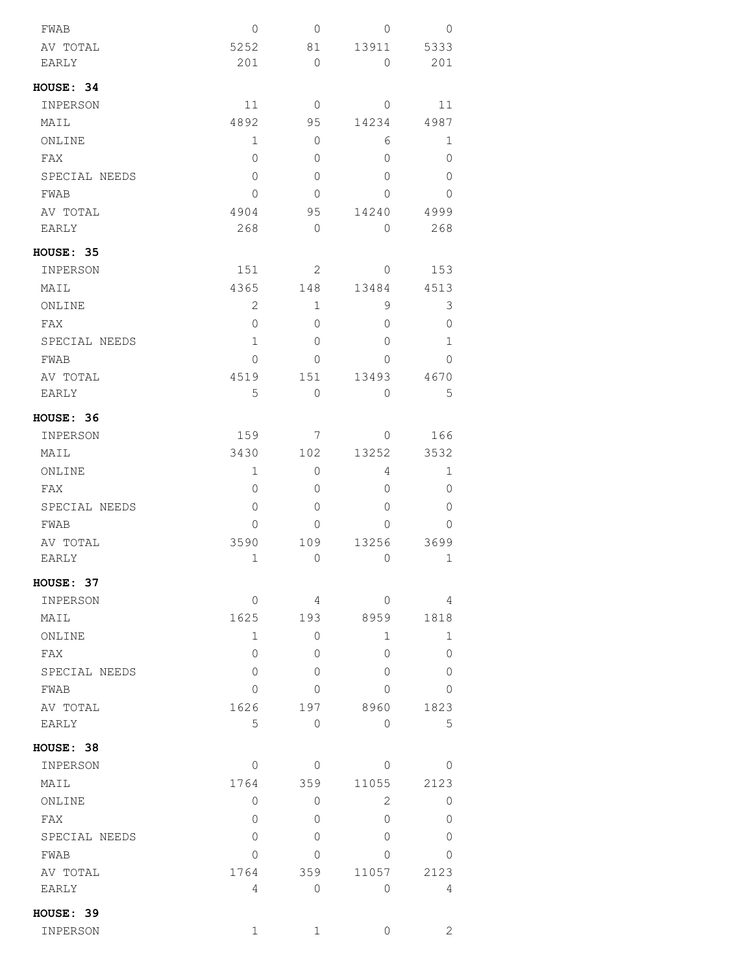| FWAB          | 0              | $\mathbf 0$  | 0              | 0            |
|---------------|----------------|--------------|----------------|--------------|
| AV TOTAL      | 5252           | 81           | 13911          | 5333         |
| <b>EARLY</b>  | 201            | 0            | 0              | 201          |
| HOUSE: 34     |                |              |                |              |
| INPERSON      | 11             | $\mathbf{0}$ | $\overline{0}$ | 11           |
| MAIL          | 4892           | 95           | 14234          | 4987         |
| ONLINE        | 1              | 0            | 6              | 1            |
| FAX           | 0              | 0            | 0              | 0            |
| SPECIAL NEEDS | 0              | 0            | 0              | 0            |
| FWAB          | 0              | 0            | 0              | 0            |
| AV TOTAL      | 4904           | 95           | 14240          | 4999         |
| EARLY         | 268            | $\mathbf 0$  | 0              | 268          |
| HOUSE: 35     |                |              |                |              |
| INPERSON      | 151            | 2            | 0              | 153          |
| MAIL          | 4365           | 148          | 13484          | 4513         |
| ONLINE        | $\overline{2}$ | $\mathbf 1$  | 9              | 3            |
| FAX           | 0              | 0            | 0              | 0            |
| SPECIAL NEEDS | $\mathbf 1$    | 0            | 0              | 1            |
| FWAB          | $\Omega$       | 0            | 0              | $\Omega$     |
| AV TOTAL      | 4519           | 151          | 13493          | 4670         |
| EARLY         | 5              | 0            | 0              | 5            |
| HOUSE: 36     |                |              |                |              |
| INPERSON      | 159            | 7            | 0              | 166          |
| MAIL          | 3430           | 102          | 13252          | 3532         |
| ONLINE        | 1              | 0            | 4              | 1            |
| FAX           | 0              | 0            | 0              | 0            |
| SPECIAL NEEDS | 0              | 0            | $\Omega$       | 0            |
| <b>FWAB</b>   | 0              | 0            | 0              | $\Omega$     |
| AV TOTAL      | 3590           | 109          | 13256          | 3699         |
| <b>EARLY</b>  | $\mathbf 1$    | 0            | $\mathbf 0$    | 1            |
| HOUSE: 37     |                |              |                |              |
| INPERSON      | 0              | 4            | 0              | 4            |
| MAIL          | 1625           | 193          | 8959           | 1818         |
| ONLINE        | 1              | 0            | 1              | 1            |
| FAX           | $\Omega$       | 0            | 0              | 0            |
| SPECIAL NEEDS | 0              | 0            | 0              | 0            |
| FWAB          | 0              | 0            | 0              | $\mathbf{0}$ |
| AV TOTAL      | 1626           | 197          | 8960           | 1823         |
| EARLY         | 5              | 0            | 0              | 5            |
| HOUSE: 38     |                |              |                |              |
| INPERSON      | 0              | 0            | 0              | $\Omega$     |
| MAIL          | 1764           | 359          | 11055          | 2123         |
| ONLINE        | 0              | 0            | 2              | 0            |
| FAX           | 0              | 0            | 0              | 0            |
| SPECIAL NEEDS | 0              | 0            | $\Omega$       | 0            |
| FWAB          | 0              | 0            | 0              | 0            |
| AV TOTAL      | 1764           | 359          | 11057          | 2123         |
| EARLY         | 4              | 0            | 0              | 4            |
| HOUSE: 39     |                |              |                |              |
| INPERSON      | 1              | 1            | 0              | 2            |